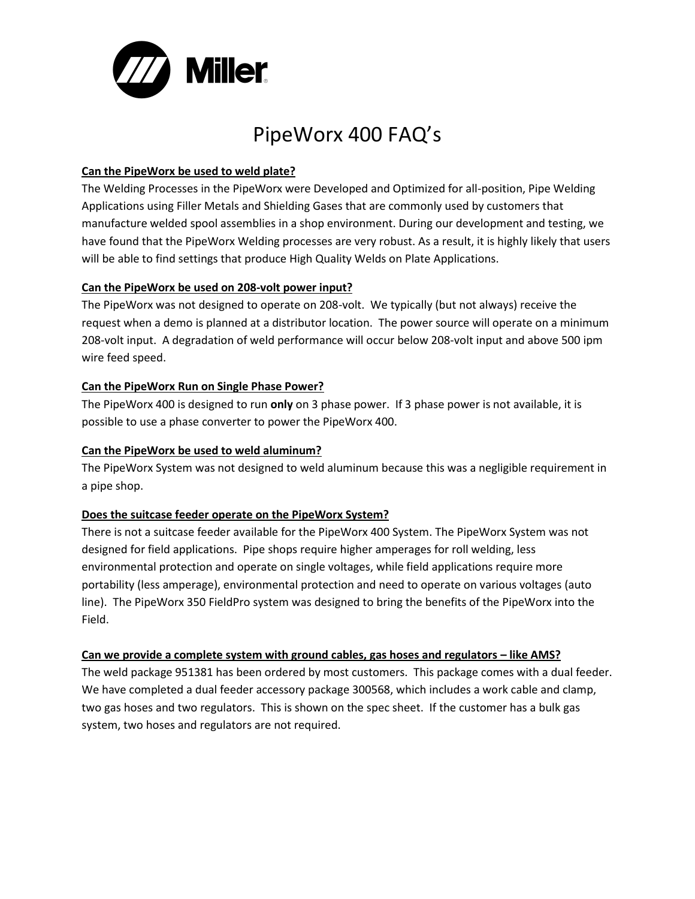

# PipeWorx 400 FAQ's

# **Can the PipeWorx be used to weld plate?**

The Welding Processes in the PipeWorx were Developed and Optimized for all-position, Pipe Welding Applications using Filler Metals and Shielding Gases that are commonly used by customers that manufacture welded spool assemblies in a shop environment. During our development and testing, we have found that the PipeWorx Welding processes are very robust. As a result, it is highly likely that users will be able to find settings that produce High Quality Welds on Plate Applications.

### **Can the PipeWorx be used on 208-volt power input?**

The PipeWorx was not designed to operate on 208-volt. We typically (but not always) receive the request when a demo is planned at a distributor location. The power source will operate on a minimum 208-volt input. A degradation of weld performance will occur below 208-volt input and above 500 ipm wire feed speed.

# **Can the PipeWorx Run on Single Phase Power?**

The PipeWorx 400 is designed to run **only** on 3 phase power. If 3 phase power is not available, it is possible to use a phase converter to power the PipeWorx 400.

## **Can the PipeWorx be used to weld aluminum?**

The PipeWorx System was not designed to weld aluminum because this was a negligible requirement in a pipe shop.

# **Does the suitcase feeder operate on the PipeWorx System?**

There is not a suitcase feeder available for the PipeWorx 400 System. The PipeWorx System was not designed for field applications. Pipe shops require higher amperages for roll welding, less environmental protection and operate on single voltages, while field applications require more portability (less amperage), environmental protection and need to operate on various voltages (auto line). The PipeWorx 350 FieldPro system was designed to bring the benefits of the PipeWorx into the Field.

#### Can we provide a complete system with ground cables, gas hoses and regulators – like AMS?

The weld package 951381 has been ordered by most customers. This package comes with a dual feeder. We have completed a dual feeder accessory package 300568, which includes a work cable and clamp, two gas hoses and two regulators. This is shown on the spec sheet. If the customer has a bulk gas system, two hoses and regulators are not required.